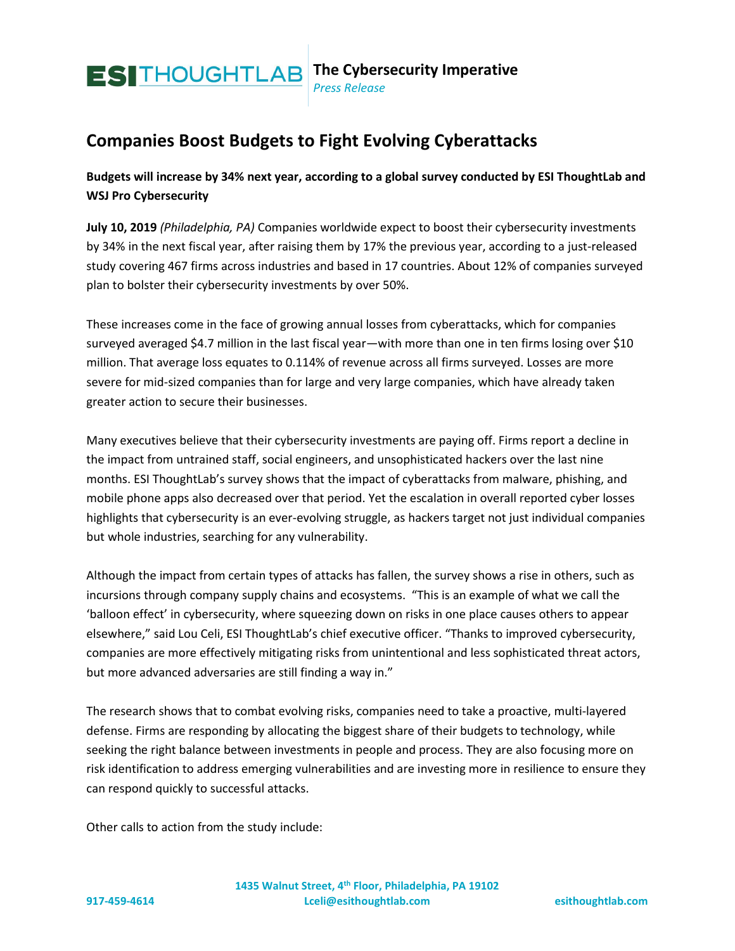

## *Press Release*

## **Companies Boost Budgets to Fight Evolving Cyberattacks**

**Budgets will increase by 34% next year, according to a global survey conducted by ESI ThoughtLab and WSJ Pro Cybersecurity**

**July 10, 2019** *(Philadelphia, PA)* Companies worldwide expect to boost their cybersecurity investments by 34% in the next fiscal year, after raising them by 17% the previous year, according to a just-released study covering 467 firms across industries and based in 17 countries. About 12% of companies surveyed plan to bolster their cybersecurity investments by over 50%.

These increases come in the face of growing annual losses from cyberattacks, which for companies surveyed averaged \$4.7 million in the last fiscal year—with more than one in ten firms losing over \$10 million. That average loss equates to 0.114% of revenue across all firms surveyed. Losses are more severe for mid-sized companies than for large and very large companies, which have already taken greater action to secure their businesses.

Many executives believe that their cybersecurity investments are paying off. Firms report a decline in the impact from untrained staff, social engineers, and unsophisticated hackers over the last nine months. ESI ThoughtLab's survey shows that the impact of cyberattacks from malware, phishing, and mobile phone apps also decreased over that period. Yet the escalation in overall reported cyber losses highlights that cybersecurity is an ever-evolving struggle, as hackers target not just individual companies but whole industries, searching for any vulnerability.

Although the impact from certain types of attacks has fallen, the survey shows a rise in others, such as incursions through company supply chains and ecosystems. "This is an example of what we call the 'balloon effect' in cybersecurity, where squeezing down on risks in one place causes others to appear elsewhere," said Lou Celi, ESI ThoughtLab's chief executive officer. "Thanks to improved cybersecurity, companies are more effectively mitigating risks from unintentional and less sophisticated threat actors, but more advanced adversaries are still finding a way in."

The research shows that to combat evolving risks, companies need to take a proactive, multi-layered defense. Firms are responding by allocating the biggest share of their budgets to technology, while seeking the right balance between investments in people and process. They are also focusing more on risk identification to address emerging vulnerabilities and are investing more in resilience to ensure they can respond quickly to successful attacks.

Other calls to action from the study include: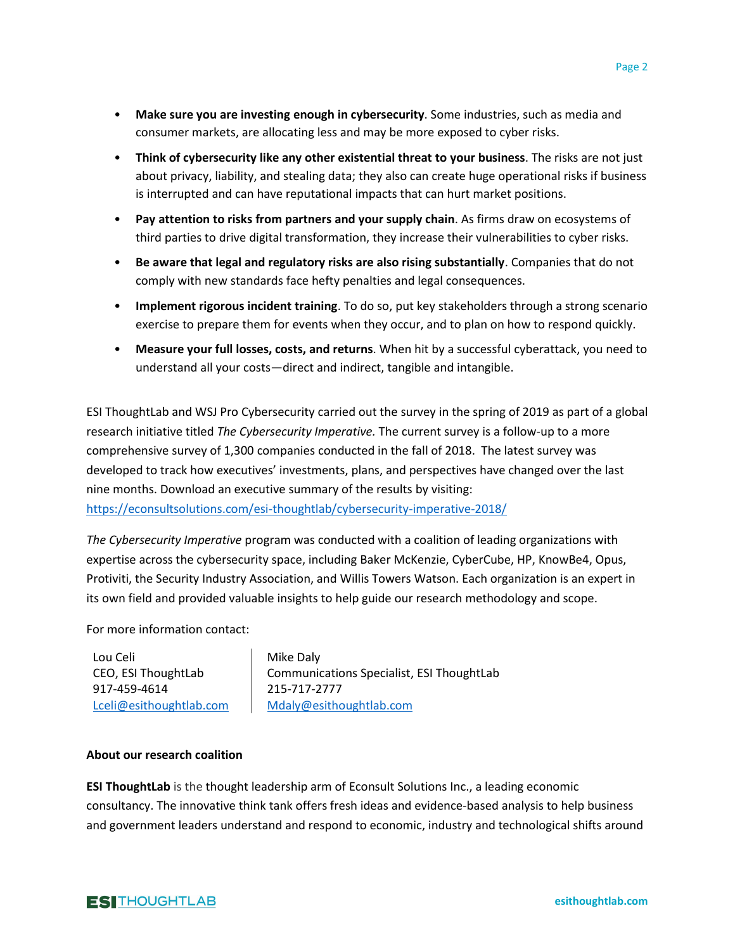- **Make sure you are investing enough in cybersecurity**. Some industries, such as media and consumer markets, are allocating less and may be more exposed to cyber risks.
- **Think of cybersecurity like any other existential threat to your business**. The risks are not just about privacy, liability, and stealing data; they also can create huge operational risks if business is interrupted and can have reputational impacts that can hurt market positions.
- **Pay attention to risks from partners and your supply chain**. As firms draw on ecosystems of third parties to drive digital transformation, they increase their vulnerabilities to cyber risks.
- **Be aware that legal and regulatory risks are also rising substantially**. Companies that do not comply with new standards face hefty penalties and legal consequences.
- **Implement rigorous incident training**. To do so, put key stakeholders through a strong scenario exercise to prepare them for events when they occur, and to plan on how to respond quickly.
- **Measure your full losses, costs, and returns**. When hit by a successful cyberattack, you need to understand all your costs—direct and indirect, tangible and intangible.

ESI ThoughtLab and WSJ Pro Cybersecurity carried out the survey in the spring of 2019 as part of a global research initiative titled *The Cybersecurity Imperative.* The current survey is a follow-up to a more comprehensive survey of 1,300 companies conducted in the fall of 2018. The latest survey was developed to track how executives' investments, plans, and perspectives have changed over the last nine months. Download an executive summary of the results by visiting: <https://econsultsolutions.com/esi-thoughtlab/cybersecurity-imperative-2018/>

*The Cybersecurity Imperative* program was conducted with a coalition of leading organizations with expertise across the cybersecurity space, including Baker McKenzie, CyberCube, HP, KnowBe4, Opus, Protiviti, the Security Industry Association, and Willis Towers Watson. Each organization is an expert in its own field and provided valuable insights to help guide our research methodology and scope.

For more information contact:

Lou Celi CEO, ESI ThoughtLab 917-459-4614 [Lceli@esithoughtlab.com](mailto:Lceli@esithoughtlab.com)

 Mike Daly Communications Specialist, ESI ThoughtLab 215-717-2777 [Mdaly@esithoughtlab.com](mailto:Mdaly@esithoughtlab.com)

## **About our research coalition**

**ESI ThoughtLab** is the thought leadership arm of Econsult Solutions Inc., a leading economic consultancy. The innovative think tank offers fresh ideas and evidence-based analysis to help business and government leaders understand and respond to economic, industry and technological shifts around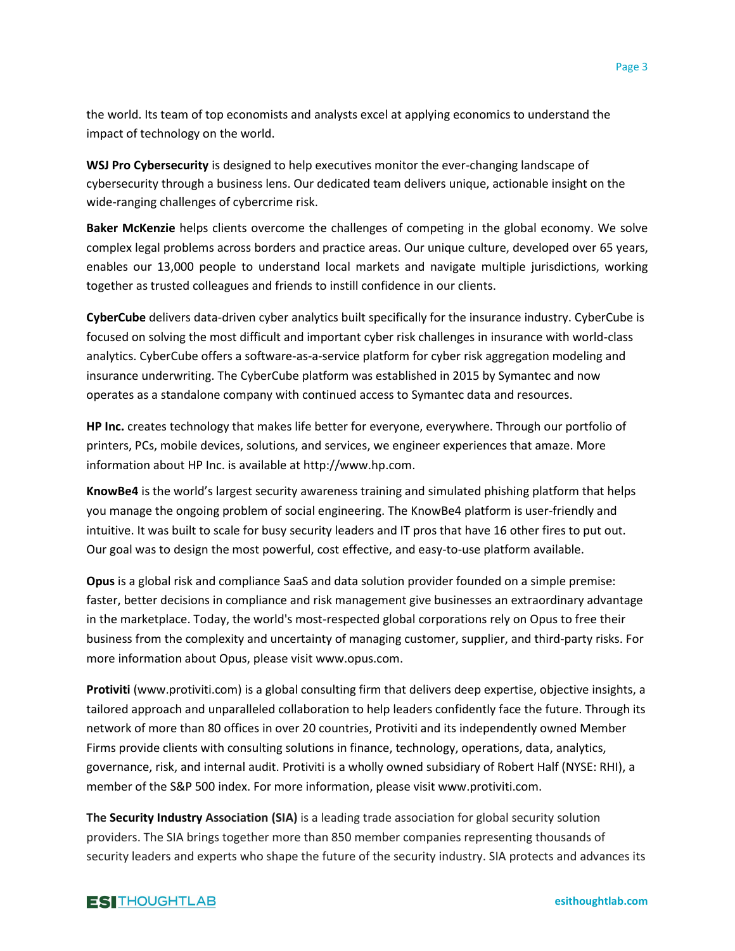the world. Its team of top economists and analysts excel at applying economics to understand the impact of technology on the world.

**WSJ Pro Cybersecurity** is designed to help executives monitor the ever-changing landscape of cybersecurity through a business lens. Our dedicated team delivers unique, actionable insight on the wide-ranging challenges of cybercrime risk.

**Baker McKenzie** helps clients overcome the challenges of competing in the global economy. We solve complex legal problems across borders and practice areas. Our unique culture, developed over 65 years, enables our 13,000 people to understand local markets and navigate multiple jurisdictions, working together as trusted colleagues and friends to instill confidence in our clients.

**CyberCube** delivers data-driven cyber analytics built specifically for the insurance industry. CyberCube is focused on solving the most difficult and important cyber risk challenges in insurance with world-class analytics. CyberCube offers a software-as-a-service platform for cyber risk aggregation modeling and insurance underwriting. The CyberCube platform was established in 2015 by Symantec and now operates as a standalone company with continued access to Symantec data and resources.

**HP Inc.** creates technology that makes life better for everyone, everywhere. Through our portfolio of printers, PCs, mobile devices, solutions, and services, we engineer experiences that amaze. More information about HP Inc. is available at http://www.hp.com.

**KnowBe4** is the world's largest security awareness training and simulated phishing platform that helps you manage the ongoing problem of social engineering. The KnowBe4 platform is user-friendly and intuitive. It was built to scale for busy security leaders and IT pros that have 16 other fires to put out. Our goal was to design the most powerful, cost effective, and easy-to-use platform available.

**Opus** is a global risk and compliance SaaS and data solution provider founded on a simple premise: faster, better decisions in compliance and risk management give businesses an extraordinary advantage in the marketplace. Today, the world's most-respected global corporations rely on Opus to free their business from the complexity and uncertainty of managing customer, supplier, and third-party risks. For more information about Opus, please visit www.opus.com.

**Protiviti** (www.protiviti.com) is a global consulting firm that delivers deep expertise, objective insights, a tailored approach and unparalleled collaboration to help leaders confidently face the future. Through its network of more than 80 offices in over 20 countries, Protiviti and its independently owned Member Firms provide clients with consulting solutions in finance, technology, operations, data, analytics, governance, risk, and internal audit. Protiviti is a wholly owned subsidiary of Robert Half (NYSE: RHI), a member of the S&P 500 index. For more information, please visit www.protiviti.com.

**The Security Industry Association (SIA)** is a leading trade association for global security solution providers. The SIA brings together more than 850 member companies representing thousands of security leaders and experts who shape the future of the security industry. SIA protects and advances its